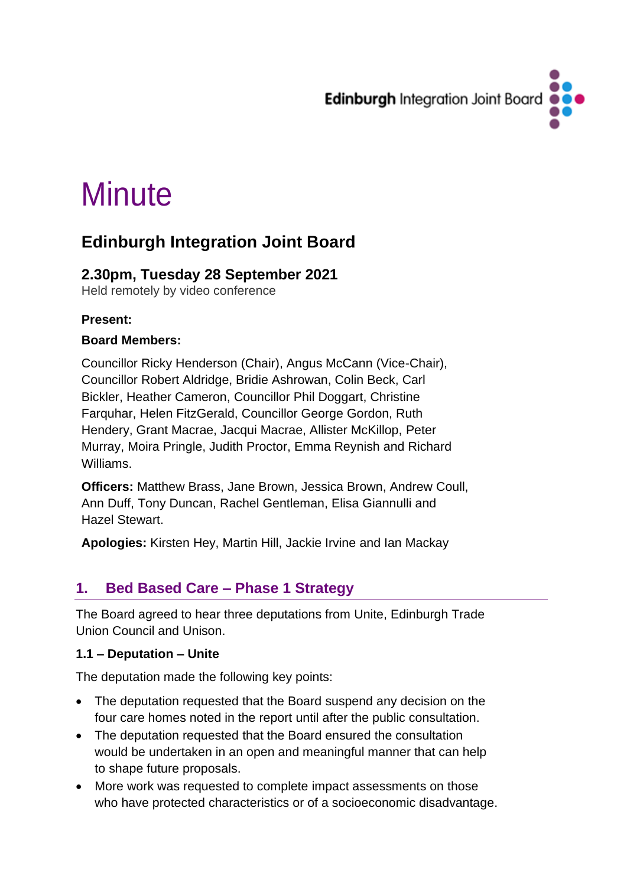

# **Minute**

# **Edinburgh Integration Joint Board**

# **2.30pm, Tuesday 28 September 2021**

Held remotely by video conference

#### **Present:**

#### **Board Members:**

Councillor Ricky Henderson (Chair), Angus McCann (Vice-Chair), Councillor Robert Aldridge, Bridie Ashrowan, Colin Beck, Carl Bickler, Heather Cameron, Councillor Phil Doggart, Christine Farquhar, Helen FitzGerald, Councillor George Gordon, Ruth Hendery, Grant Macrae, Jacqui Macrae, Allister McKillop, Peter Murray, Moira Pringle, Judith Proctor, Emma Reynish and Richard Williams.

**Officers:** Matthew Brass, Jane Brown, Jessica Brown, Andrew Coull, Ann Duff, Tony Duncan, Rachel Gentleman, Elisa Giannulli and Hazel Stewart.

**Apologies:** Kirsten Hey, Martin Hill, Jackie Irvine and Ian Mackay

### **1. Bed Based Care – Phase 1 Strategy**

The Board agreed to hear three deputations from Unite, Edinburgh Trade Union Council and Unison.

#### **1.1 – Deputation – Unite**

The deputation made the following key points:

- The deputation requested that the Board suspend any decision on the four care homes noted in the report until after the public consultation.
- The deputation requested that the Board ensured the consultation would be undertaken in an open and meaningful manner that can help to shape future proposals.
- More work was requested to complete impact assessments on those who have protected characteristics or of a socioeconomic disadvantage.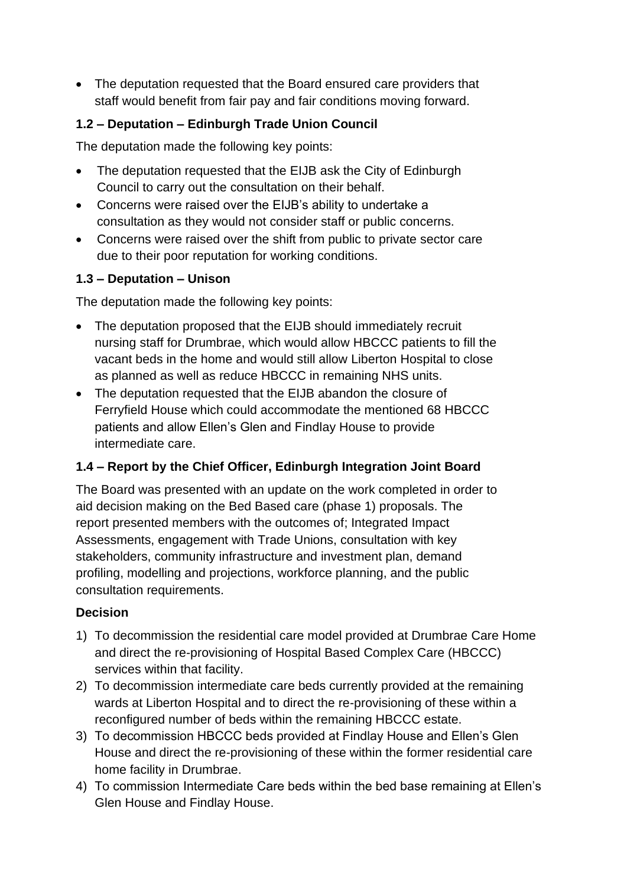• The deputation requested that the Board ensured care providers that staff would benefit from fair pay and fair conditions moving forward.

#### **1.2 – Deputation – Edinburgh Trade Union Council**

The deputation made the following key points:

- The deputation requested that the EIJB ask the City of Edinburgh Council to carry out the consultation on their behalf.
- Concerns were raised over the EIJB's ability to undertake a consultation as they would not consider staff or public concerns.
- Concerns were raised over the shift from public to private sector care due to their poor reputation for working conditions.

#### **1.3 – Deputation – Unison**

The deputation made the following key points:

- The deputation proposed that the EIJB should immediately recruit nursing staff for Drumbrae, which would allow HBCCC patients to fill the vacant beds in the home and would still allow Liberton Hospital to close as planned as well as reduce HBCCC in remaining NHS units.
- The deputation requested that the EIJB abandon the closure of Ferryfield House which could accommodate the mentioned 68 HBCCC patients and allow Ellen's Glen and Findlay House to provide intermediate care.

#### **1.4 – Report by the Chief Officer, Edinburgh Integration Joint Board**

The Board was presented with an update on the work completed in order to aid decision making on the Bed Based care (phase 1) proposals. The report presented members with the outcomes of; Integrated Impact Assessments, engagement with Trade Unions, consultation with key stakeholders, community infrastructure and investment plan, demand profiling, modelling and projections, workforce planning, and the public consultation requirements.

#### **Decision**

- 1) To decommission the residential care model provided at Drumbrae Care Home and direct the re-provisioning of Hospital Based Complex Care (HBCCC) services within that facility.
- 2) To decommission intermediate care beds currently provided at the remaining wards at Liberton Hospital and to direct the re-provisioning of these within a reconfigured number of beds within the remaining HBCCC estate.
- 3) To decommission HBCCC beds provided at Findlay House and Ellen's Glen House and direct the re-provisioning of these within the former residential care home facility in Drumbrae.
- 4) To commission Intermediate Care beds within the bed base remaining at Ellen's Glen House and Findlay House.